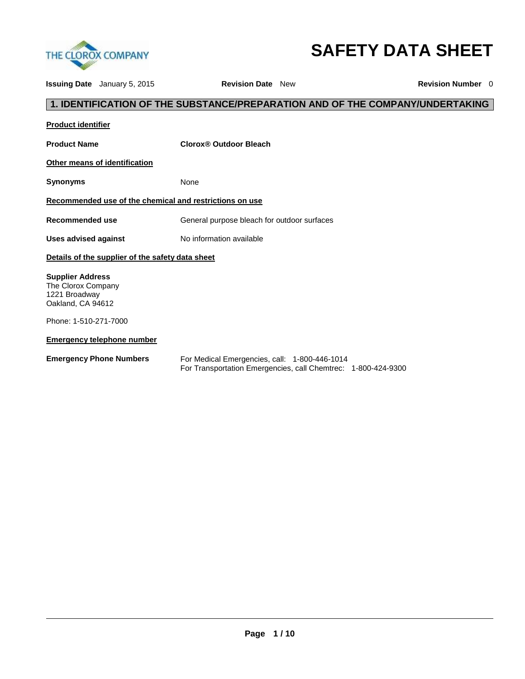

# **SAFETY DATA SHEET**

**Issuing Date** January 5, 2015 **Revision Date** New **Revision Number** 0

# **1. IDENTIFICATION OF THE SUBSTANCE/PREPARATION AND OF THE COMPANY/UNDERTAKING**

| <b>Product identifier</b>                                                                                    |                                                                                                                |
|--------------------------------------------------------------------------------------------------------------|----------------------------------------------------------------------------------------------------------------|
| <b>Product Name</b>                                                                                          | Clorox® Outdoor Bleach                                                                                         |
| <b>Other means of identification</b>                                                                         |                                                                                                                |
| Synonyms                                                                                                     | None                                                                                                           |
| Recommended use of the chemical and restrictions on use                                                      |                                                                                                                |
| Recommended use                                                                                              | General purpose bleach for outdoor surfaces                                                                    |
| <b>Uses advised against</b>                                                                                  | No information available                                                                                       |
| Details of the supplier of the safety data sheet                                                             |                                                                                                                |
| <b>Supplier Address</b><br>The Clorox Company<br>1221 Broadway<br>Oakland, CA 94612<br>Phone: 1-510-271-7000 |                                                                                                                |
| <b>Emergency telephone number</b>                                                                            |                                                                                                                |
| <b>Emergency Phone Numbers</b>                                                                               | For Medical Emergencies, call: 1-800-446-1014<br>For Transportation Emergencies, call Chemtrec: 1-800-424-9300 |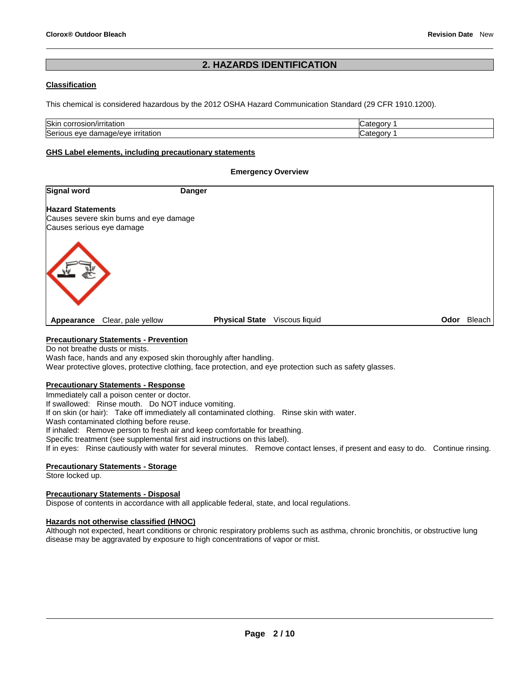# **2. HAZARDS IDENTIFICATION**

# **Classification**

This chemical is considered hazardous by the 2012 OSHA Hazard Communication Standard (29 CFR 1910.1200).

| <b>Skin</b><br><br>.osion<br>COLL<br>/imiauor        | $\sim$<br>n÷.<br><b>TV</b> |
|------------------------------------------------------|----------------------------|
| Serio<br>mage/eye<br>irritation<br>eve<br>ust.<br>uə | . הר<br>. ) TV             |

#### **GHS Label elements, including precautionary statements**

#### **Emergency Overview**

| <b>Signal word</b>                                                                               | <b>Danger</b>                           |                    |
|--------------------------------------------------------------------------------------------------|-----------------------------------------|--------------------|
| <b>Hazard Statements</b><br>Causes severe skin burns and eye damage<br>Causes serious eye damage |                                         |                    |
|                                                                                                  |                                         |                    |
| Clear, pale yellow<br>Appearance                                                                 | <b>Physical State</b><br>Viscous liquid | <b>Odor</b> Bleach |

# **Precautionary Statements - Prevention**

Do not breathe dusts or mists. Wash face, hands and any exposed skin thoroughly after handling. Wear protective gloves, protective clothing, face protection, and eye protection such as safety glasses.

# **Precautionary Statements - Response**

Immediately call a poison center or doctor. If swallowed: Rinse mouth. Do NOT induce vomiting. If on skin (or hair): Take off immediately all contaminated clothing. Rinse skin with water. Wash contaminated clothing before reuse. If inhaled: Remove person to fresh air and keep comfortable for breathing. Specific treatment (see supplemental first aid instructions on this label). If in eyes: Rinse cautiously with water for several minutes. Remove contact lenses, if present and easy to do. Continue rinsing.

## **Precautionary Statements - Storage**

Store locked up.

# **Precautionary Statements - Disposal**

Dispose of contents in accordance with all applicable federal, state, and local regulations.

## **Hazards not otherwise classified (HNOC)**

Although not expected, heart conditions or chronic respiratory problems such as asthma, chronic bronchitis, or obstructive lung disease may be aggravated by exposure to high concentrations of vapor or mist.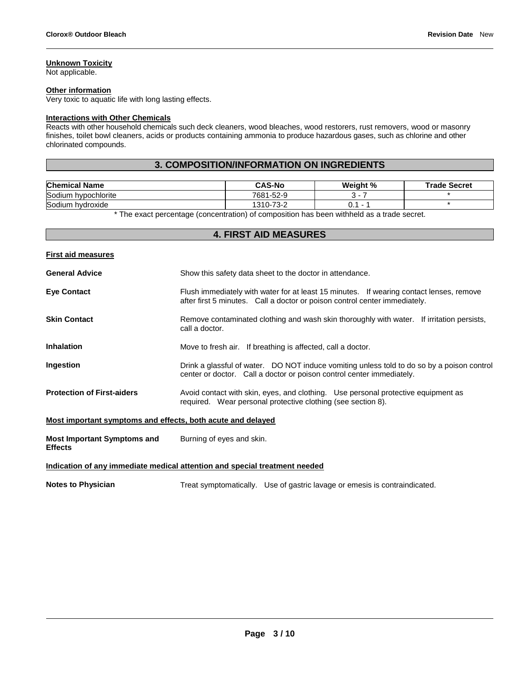# **Unknown Toxicity**

Not applicable.

# **Other information**

Very toxic to aquatic life with long lasting effects.

# **Interactions with Other Chemicals**

Reacts with other household chemicals such deck cleaners, wood bleaches, wood restorers, rust removers, wood or masonry finishes, toilet bowl cleaners, acids or products containing ammonia to produce hazardous gases, such as chlorine and other chlorinated compounds.

# **3. COMPOSITION/INFORMATION ON INGREDIENTS**

| <b>Chemical Name</b>   | <b>CAS-No</b>       | Weight % | <b>Trade Secret</b> |
|------------------------|---------------------|----------|---------------------|
| Sodium<br>hvpochlorite | 7681-52-9           |          |                     |
| Sodium<br>hvdroxide    | -73-2<br>$1310 - i$ | v.       |                     |

\* The exact percentage (concentration) of composition has been withheld as a trade secret.

## **4. FIRST AID MEASURES**

# **First aid measures**

| <b>General Advice</b>             | Show this safety data sheet to the doctor in attendance.                                                                                                              |  |  |
|-----------------------------------|-----------------------------------------------------------------------------------------------------------------------------------------------------------------------|--|--|
| <b>Eye Contact</b>                | Flush immediately with water for at least 15 minutes. If wearing contact lenses, remove<br>after first 5 minutes. Call a doctor or poison control center immediately. |  |  |
| <b>Skin Contact</b>               | Remove contaminated clothing and wash skin thoroughly with water. If irritation persists,<br>call a doctor.                                                           |  |  |
| <b>Inhalation</b>                 | Move to fresh air. If breathing is affected, call a doctor.                                                                                                           |  |  |
| <b>Ingestion</b>                  | Drink a glassful of water. DO NOT induce vomiting unless told to do so by a poison control<br>center or doctor. Call a doctor or poison control center immediately.   |  |  |
| <b>Protection of First-aiders</b> | Avoid contact with skin, eyes, and clothing. Use personal protective equipment as<br>required. Wear personal protective clothing (see section 8).                     |  |  |

# **Most important symptoms and effects, both acute and delayed**

| <b>Most Important Symptoms and</b> | Burning of eyes and skin. |
|------------------------------------|---------------------------|
| <b>Effects</b>                     |                           |

#### **Indication of any immediate medical attention and special treatment needed**

**Notes to Physician** Treat symptomatically. Use of gastric lavage or emesis is contraindicated.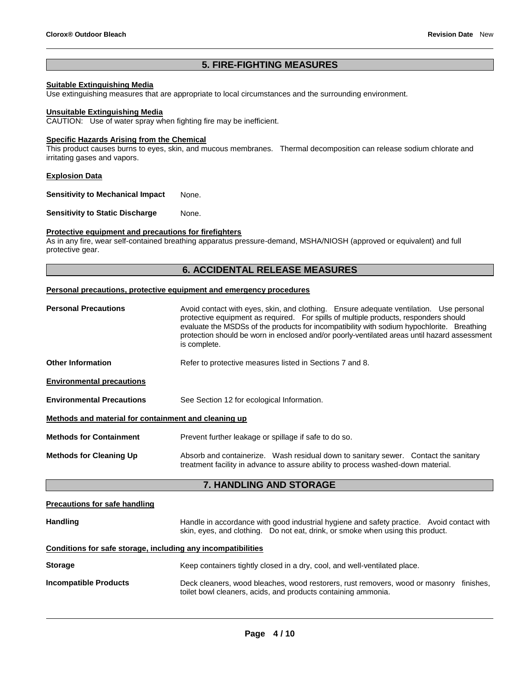# **5. FIRE-FIGHTING MEASURES**

# **Suitable Extinguishing Media**

Use extinguishing measures that are appropriate to local circumstances and the surrounding environment.

#### **Unsuitable Extinguishing Media**

CAUTION: Use of water spray when fighting fire may be inefficient.

# **Specific Hazards Arising from the Chemical**

This product causes burns to eyes, skin, and mucous membranes. Thermal decomposition can release sodium chlorate and irritating gases and vapors.

#### **Explosion Data**

**Sensitivity to Mechanical Impact** None.

**Sensitivity to Static Discharge Mone.** 

# **Protective equipment and precautions for firefighters**

As in any fire, wear self-contained breathing apparatus pressure-demand, MSHA/NIOSH (approved or equivalent) and full protective gear.

# **6. ACCIDENTAL RELEASE MEASURES**

#### **Personal precautions, protective equipment and emergency procedures**

| <b>Personal Precautions</b>                          | Avoid contact with eyes, skin, and clothing. Ensure adequate ventilation. Use personal<br>protective equipment as required. For spills of multiple products, responders should<br>evaluate the MSDSs of the products for incompatibility with sodium hypochlorite. Breathing<br>protection should be worn in enclosed and/or poorly-ventilated areas until hazard assessment<br>is complete. |  |  |
|------------------------------------------------------|----------------------------------------------------------------------------------------------------------------------------------------------------------------------------------------------------------------------------------------------------------------------------------------------------------------------------------------------------------------------------------------------|--|--|
| <b>Other Information</b>                             | Refer to protective measures listed in Sections 7 and 8.                                                                                                                                                                                                                                                                                                                                     |  |  |
| <b>Environmental precautions</b>                     |                                                                                                                                                                                                                                                                                                                                                                                              |  |  |
| <b>Environmental Precautions</b>                     | See Section 12 for ecological Information.                                                                                                                                                                                                                                                                                                                                                   |  |  |
| Methods and material for containment and cleaning up |                                                                                                                                                                                                                                                                                                                                                                                              |  |  |
| <b>Methods for Containment</b>                       | Prevent further leakage or spillage if safe to do so.                                                                                                                                                                                                                                                                                                                                        |  |  |
| <b>Methods for Cleaning Up</b>                       | Absorb and containerize. Wash residual down to sanitary sewer. Contact the sanitary<br>treatment facility in advance to assure ability to process washed-down material.                                                                                                                                                                                                                      |  |  |
| <b>7. HANDLING AND STORAGE</b>                       |                                                                                                                                                                                                                                                                                                                                                                                              |  |  |
| <b>Precautions for safe handling</b>                 |                                                                                                                                                                                                                                                                                                                                                                                              |  |  |

| <b>Handling</b> |                                                                                | Handle in accordance with good industrial hygiene and safety practice. Avoid contact with |  |
|-----------------|--------------------------------------------------------------------------------|-------------------------------------------------------------------------------------------|--|
|                 | skin, eyes, and clothing. Do not eat, drink, or smoke when using this product. |                                                                                           |  |

# **Conditions for safe storage, including any incompatibilities**

| <b>Storage</b>        | Keep containers tightly closed in a dry, cool, and well-ventilated place.                                                                     |           |
|-----------------------|-----------------------------------------------------------------------------------------------------------------------------------------------|-----------|
| Incompatible Products | Deck cleaners, wood bleaches, wood restorers, rust removers, wood or masonry<br>toilet bowl cleaners, acids, and products containing ammonia. | finishes. |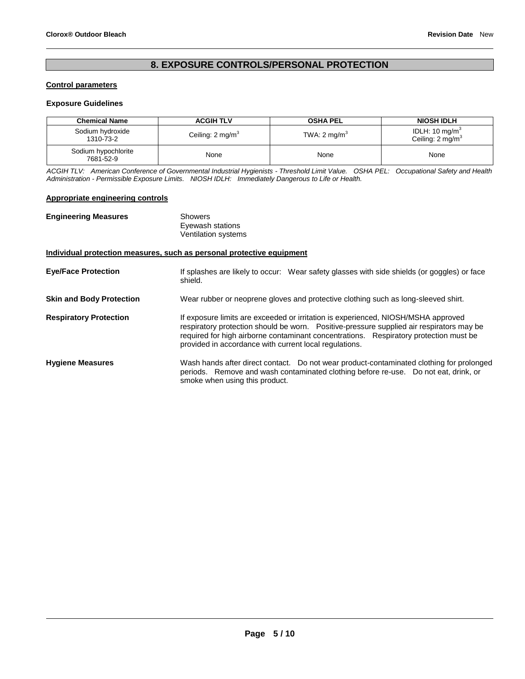# **8. EXPOSURE CONTROLS/PERSONAL PROTECTION**

# **Control parameters**

# **Exposure Guidelines**

| <b>Chemical Name</b>             | <b>ACGIH TLV</b>            | <b>OSHA PEL</b>         | <b>NIOSH IDLH</b>                                |
|----------------------------------|-----------------------------|-------------------------|--------------------------------------------------|
| Sodium hydroxide<br>1310-73-2    | Ceiling: $2 \text{ mg/m}^3$ | TWA: $2 \text{ mg/m}^3$ | IDLH: 10 mg/m $3$<br>Ceiling: $2 \text{ mg/m}^3$ |
| Sodium hypochlorite<br>7681-52-9 | None                        | None                    | None                                             |

*ACGIH TLV: American Conference of Governmental Industrial Hygienists - Threshold Limit Value. OSHA PEL: Occupational Safety and Health Administration - Permissible Exposure Limits. NIOSH IDLH: Immediately Dangerous to Life or Health.*

# **Appropriate engineering controls**

| <b>Engineering Measures</b>     | Showers<br>Eyewash stations<br>Ventilation systems                                                                                                                                                                                                                                                                               |
|---------------------------------|----------------------------------------------------------------------------------------------------------------------------------------------------------------------------------------------------------------------------------------------------------------------------------------------------------------------------------|
|                                 | Individual protection measures, such as personal protective equipment                                                                                                                                                                                                                                                            |
| <b>Eye/Face Protection</b>      | If splashes are likely to occur: Wear safety glasses with side shields (or goggles) or face<br>shield.                                                                                                                                                                                                                           |
| <b>Skin and Body Protection</b> | Wear rubber or neoprene gloves and protective clothing such as long-sleeved shirt.                                                                                                                                                                                                                                               |
| <b>Respiratory Protection</b>   | If exposure limits are exceeded or irritation is experienced, NIOSH/MSHA approved<br>respiratory protection should be worn. Positive-pressure supplied air respirators may be<br>required for high airborne contaminant concentrations. Respiratory protection must be<br>provided in accordance with current local regulations. |
| <b>Hygiene Measures</b>         | Wash hands after direct contact.  Do not wear product-contaminated clothing for prolonged<br>periods. Remove and wash contaminated clothing before re-use. Do not eat, drink, or<br>smoke when using this product.                                                                                                               |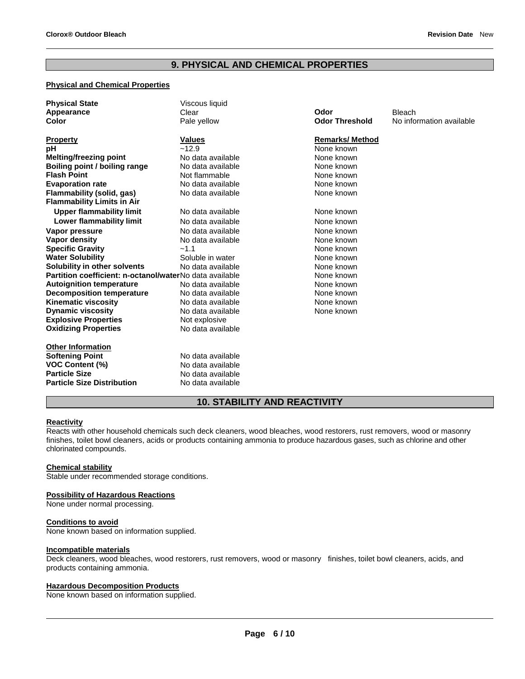# **9. PHYSICAL AND CHEMICAL PROPERTIES**

# **Physical and Chemical Properties**

| <b>Physical State</b><br>Appearance                     | Viscous liquid<br>Clear | Odor                   | <b>Bleach</b>            |
|---------------------------------------------------------|-------------------------|------------------------|--------------------------|
| Color                                                   | Pale yellow             | <b>Odor Threshold</b>  | No information available |
| <b>Property</b>                                         | <b>Values</b>           | <b>Remarks/ Method</b> |                          |
| рH                                                      | ~12.9                   | None known             |                          |
| <b>Melting/freezing point</b>                           | No data available       | None known             |                          |
| Boiling point / boiling range                           | No data available       | None known             |                          |
| <b>Flash Point</b>                                      | Not flammable           | None known             |                          |
| <b>Evaporation rate</b>                                 | No data available       | None known             |                          |
| Flammability (solid, gas)                               | No data available       | None known             |                          |
| <b>Flammability Limits in Air</b>                       |                         |                        |                          |
| <b>Upper flammability limit</b>                         | No data available       | None known             |                          |
| Lower flammability limit                                | No data available       | None known             |                          |
| Vapor pressure                                          | No data available       | None known             |                          |
| <b>Vapor density</b>                                    | No data available       | None known             |                          |
| <b>Specific Gravity</b>                                 | $-1.1$                  | None known             |                          |
| <b>Water Solubility</b>                                 | Soluble in water        | None known             |                          |
| Solubility in other solvents                            | No data available       | None known             |                          |
| Partition coefficient: n-octanol/waterNo data available |                         | None known             |                          |
| <b>Autoignition temperature</b>                         | No data available       | None known             |                          |
| <b>Decomposition temperature</b>                        | No data available       | None known             |                          |
| Kinematic viscosity                                     | No data available       | None known             |                          |
| <b>Dynamic viscosity</b>                                | No data available       | None known             |                          |
| <b>Explosive Properties</b>                             | Not explosive           |                        |                          |
| <b>Oxidizing Properties</b>                             | No data available       |                        |                          |
| <b>Other Information</b>                                |                         |                        |                          |
| <b>Softening Point</b>                                  | No data available       |                        |                          |
| <b>VOC Content (%)</b>                                  | No data available       |                        |                          |
| <b>Particle Size</b>                                    | No data available       |                        |                          |
| <b>Particle Size Distribution</b>                       | No data available       |                        |                          |

# **10. STABILITY AND REACTIVITY**

## **Reactivity**

Reacts with other household chemicals such deck cleaners, wood bleaches, wood restorers, rust removers, wood or masonry finishes, toilet bowl cleaners, acids or products containing ammonia to produce hazardous gases, such as chlorine and other chlorinated compounds.

## **Chemical stability**

Stable under recommended storage conditions.

## **Possibility of Hazardous Reactions**

None under normal processing.

# **Conditions to avoid**

None known based on information supplied.

## **Incompatible materials**

Deck cleaners, wood bleaches, wood restorers, rust removers, wood or masonry finishes, toilet bowl cleaners, acids, and products containing ammonia.

#### **Hazardous Decomposition Products**

None known based on information supplied.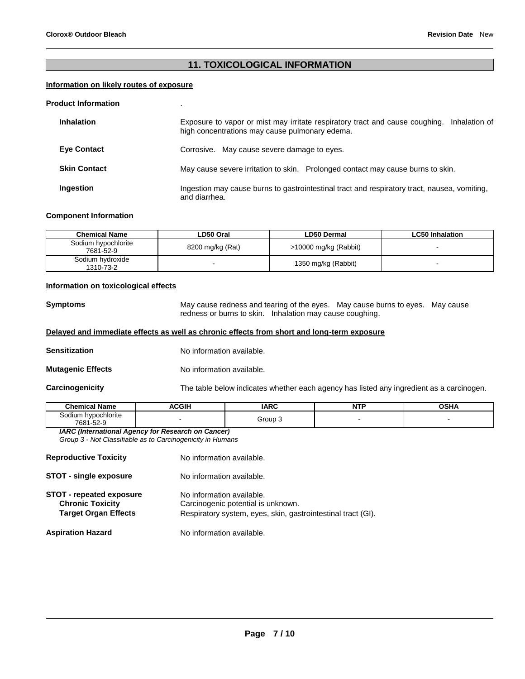# **11. TOXICOLOGICAL INFORMATION**

# **Information on likely routes of exposure**

#### **Product Information** .

| <b>Inhalation</b>   | Exposure to vapor or mist may irritate respiratory tract and cause coughing. Inhalation of<br>high concentrations may cause pulmonary edema. |  |  |  |  |
|---------------------|----------------------------------------------------------------------------------------------------------------------------------------------|--|--|--|--|
| <b>Eye Contact</b>  | Corrosive. May cause severe damage to eyes.                                                                                                  |  |  |  |  |
| <b>Skin Contact</b> | May cause severe irritation to skin. Prolonged contact may cause burns to skin.                                                              |  |  |  |  |
| Ingestion           | Ingestion may cause burns to gastrointestinal tract and respiratory tract, nausea, vomiting,<br>and diarrhea.                                |  |  |  |  |

#### **Component Information**

| <b>Chemical Name</b>             | LD50 Oral        | LD50 Dermal           | <b>LC50 Inhalation</b> |
|----------------------------------|------------------|-----------------------|------------------------|
| Sodium hypochlorite<br>7681-52-9 | 8200 mg/kg (Rat) | >10000 mg/kg (Rabbit) |                        |
| Sodium hydroxide<br>1310-73-2    |                  | 1350 mg/kg (Rabbit)   |                        |

#### **Information on toxicological effects**

**Symptoms** May cause redness and tearing of the eyes. May cause burns to eyes. May cause redness or burns to skin. Inhalation may cause coughing.

## **Delayed and immediate effects as well as chronic effects from short and long-term exposure**

**Sensitization No information available.** 

**Mutagenic Effects** No information available.

**Carcinogenicity** The table below indicates whether each agency has listed any ingredient as a carcinogen.

| Name<br>"hemical                    | <b>ACGIF</b> | <b>IARC</b> | . | OCHI<br>∿J⊓r |
|-------------------------------------|--------------|-------------|---|--------------|
| hypochlorite<br>30dium<br>7681-52-9 |              | Group       |   |              |

*IARC (International Agency for Research on Cancer) Group 3 - Not Classifiable as to Carcinogenicity in Humans* 

| <b>Reproductive Toxicity</b>                                                              | No information available.                                                                                                       |
|-------------------------------------------------------------------------------------------|---------------------------------------------------------------------------------------------------------------------------------|
| <b>STOT - single exposure</b>                                                             | No information available.                                                                                                       |
| <b>STOT - repeated exposure</b><br><b>Chronic Toxicity</b><br><b>Target Organ Effects</b> | No information available.<br>Carcinogenic potential is unknown.<br>Respiratory system, eyes, skin, gastrointestinal tract (GI). |
| <b>Aspiration Hazard</b>                                                                  | No information available.                                                                                                       |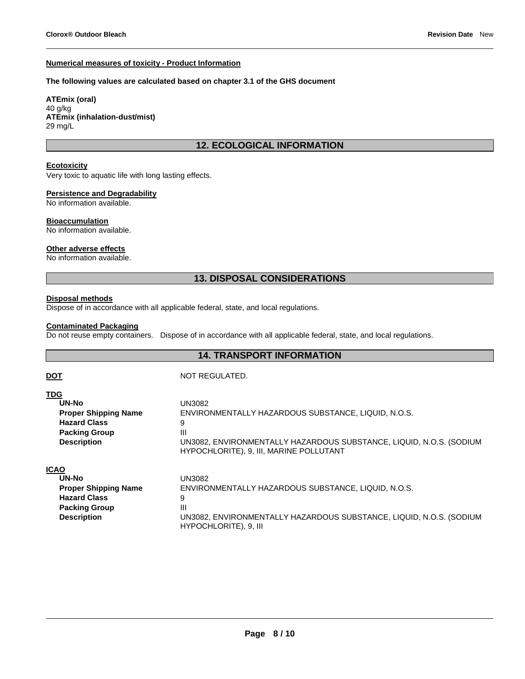#### **Numerical measures of toxicity - Product Information**

#### **The following values are calculated based on chapter 3.1 of the GHS document**

**ATEmix (oral)** 40 g/kg **ATEmix (inhalation-dust/mist)** 29 mg/L

# **12. ECOLOGICAL INFORMATION**

# **Ecotoxicity**

Very toxic to aquatic life with long lasting effects.

## **Persistence and Degradability**

No information available.

#### **Bioaccumulation**

No information available.

#### **Other adverse effects**

No information available.

# **13. DISPOSAL CONSIDERATIONS**

#### **Disposal methods**

Dispose of in accordance with all applicable federal, state, and local regulations.

# **Contaminated Packaging**

Do not reuse empty containers. Dispose of in accordance with all applicable federal, state, and local regulations.

# **14. TRANSPORT INFORMATION**

# **TDG**

**DOT** NOT REGULATED.

HYPOCHLORITE), 9, III

| <u>ישו</u>                  |                                                                                                                |
|-----------------------------|----------------------------------------------------------------------------------------------------------------|
| <b>UN-No</b>                | UN3082                                                                                                         |
| <b>Proper Shipping Name</b> | ENVIRONMENTALLY HAZARDOUS SUBSTANCE, LIQUID, N.O.S.                                                            |
| <b>Hazard Class</b>         | 9                                                                                                              |
| <b>Packing Group</b>        | Ш                                                                                                              |
| <b>Description</b>          | UN3082, ENVIRONMENTALLY HAZARDOUS SUBSTANCE, LIQUID, N.O.S. (SODIUM<br>HYPOCHLORITE), 9, III, MARINE POLLUTANT |
| <b>ICAO</b>                 |                                                                                                                |
| UN-No                       | UN3082                                                                                                         |
| <b>Proper Shipping Name</b> | ENVIRONMENTALLY HAZARDOUS SUBSTANCE, LIQUID, N.O.S.                                                            |
| <b>Hazard Class</b>         | 9                                                                                                              |
| <b>Packing Group</b>        | Ш                                                                                                              |

**Description** UN3082, ENVIRONMENTALLY HAZARDOUS SUBSTANCE, LIQUID, N.O.S. (SODIUM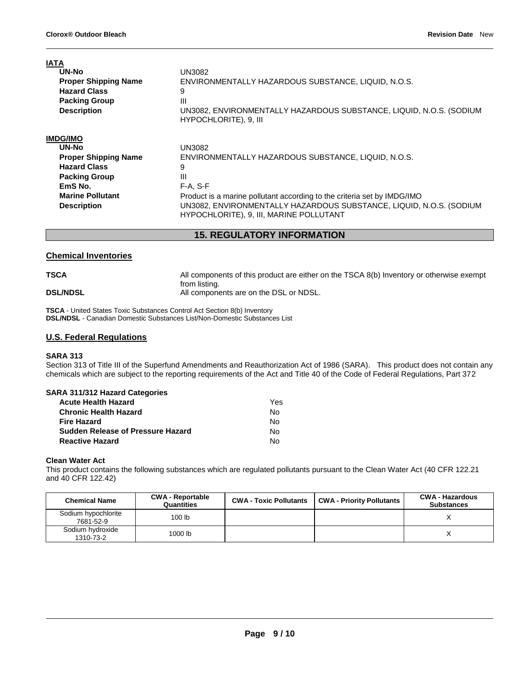| <b>IATA</b><br>UN-No<br><b>Proper Shipping Name</b><br><b>Hazard Class</b><br><b>Packing Group</b><br><b>Description</b> | UN3082<br>ENVIRONMENTALLY HAZARDOUS SUBSTANCE, LIQUID, N.O.S.<br>9<br>Ш<br>UN3082, ENVIRONMENTALLY HAZARDOUS SUBSTANCE, LIQUID, N.O.S. (SODIUM<br>HYPOCHLORITE), 9, III |
|--------------------------------------------------------------------------------------------------------------------------|-------------------------------------------------------------------------------------------------------------------------------------------------------------------------|
| <b>IMDG/IMO</b>                                                                                                          |                                                                                                                                                                         |
| UN-No                                                                                                                    | UN3082                                                                                                                                                                  |
| <b>Proper Shipping Name</b>                                                                                              | ENVIRONMENTALLY HAZARDOUS SUBSTANCE, LIQUID, N.O.S.                                                                                                                     |
| <b>Hazard Class</b>                                                                                                      | 9                                                                                                                                                                       |
| <b>Packing Group</b>                                                                                                     | Ш                                                                                                                                                                       |
| EmS No.                                                                                                                  | $F-A, S-F$                                                                                                                                                              |
| <b>Marine Pollutant</b>                                                                                                  | Product is a marine pollutant according to the criteria set by IMDG/IMO                                                                                                 |
| <b>Description</b>                                                                                                       | UN3082, ENVIRONMENTALLY HAZARDOUS SUBSTANCE, LIQUID, N.O.S. (SODIUM<br>HYPOCHLORITE), 9, III, MARINE POLLUTANT                                                          |

# **15. REGULATORY INFORMATION**

# **Chemical Inventories**

| <b>TSCA</b>     | All components of this product are either on the TSCA 8(b) Inventory or otherwise exempt |
|-----------------|------------------------------------------------------------------------------------------|
| <b>DSL/NDSL</b> | from listing.<br>All components are on the DSL or NDSL.                                  |

**TSCA** - United States Toxic Substances Control Act Section 8(b) Inventory **DSL/NDSL** - Canadian Domestic Substances List/Non-Domestic Substances List

# **U.S. Federal Regulations**

# **SARA 313**

Section 313 of Title III of the Superfund Amendments and Reauthorization Act of 1986 (SARA). This product does not contain any chemicals which are subject to the reporting requirements of the Act and Title 40 of the Code of Federal Regulations, Part 372

| SARA 311/312 Hazard Categories           |     |
|------------------------------------------|-----|
| <b>Acute Health Hazard</b>               | Yes |
| <b>Chronic Health Hazard</b>             | Nο  |
| <b>Fire Hazard</b>                       | Nο  |
| <b>Sudden Release of Pressure Hazard</b> | N٥  |
| <b>Reactive Hazard</b>                   | N٥  |

## **Clean Water Act**

This product contains the following substances which are regulated pollutants pursuant to the Clean Water Act (40 CFR 122.21 and 40 CFR 122.42)

| <b>Chemical Name</b>             | <b>CWA - Reportable</b><br>Quantities | <b>CWA - Toxic Pollutants</b> | <b>CWA - Priority Pollutants</b> | <b>CWA - Hazardous</b><br><b>Substances</b> |
|----------------------------------|---------------------------------------|-------------------------------|----------------------------------|---------------------------------------------|
| Sodium hypochlorite<br>7681-52-9 | 100 lb                                |                               |                                  |                                             |
| Sodium hydroxide<br>1310-73-2    | 1000 lb                               |                               |                                  |                                             |